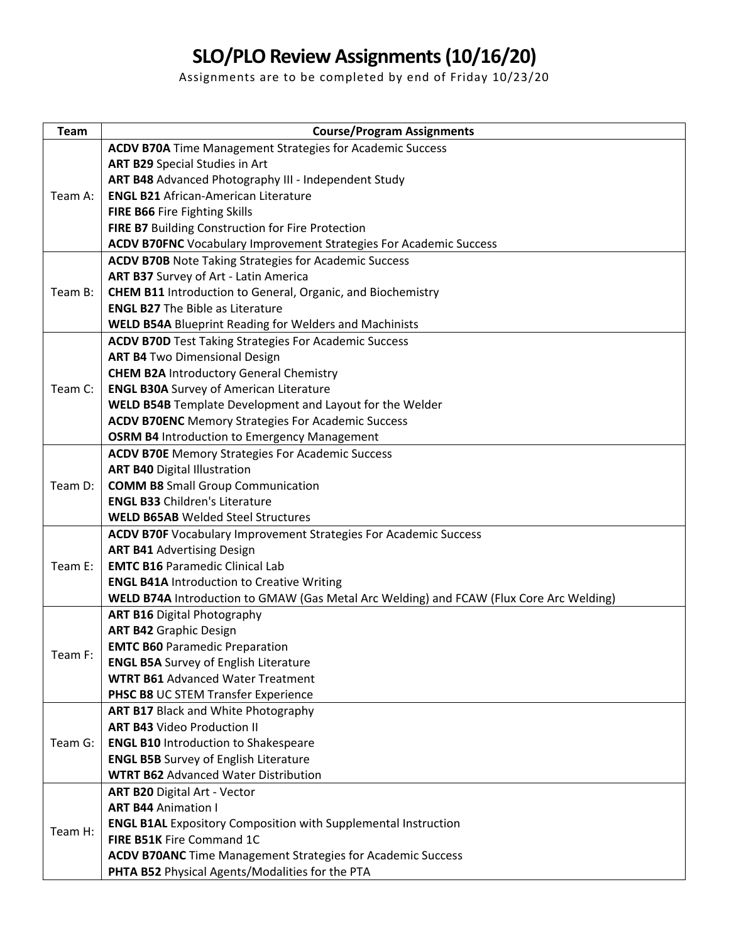## **SLO/PLO Review Assignments (10/16/20)**

Assignments are to be completed by end of Friday 10/23/20

| <b>Team</b> | <b>Course/Program Assignments</b>                                                       |
|-------------|-----------------------------------------------------------------------------------------|
| Team A:     | <b>ACDV B70A</b> Time Management Strategies for Academic Success                        |
|             | <b>ART B29 Special Studies in Art</b>                                                   |
|             | ART B48 Advanced Photography III - Independent Study                                    |
|             | <b>ENGL B21 African-American Literature</b>                                             |
|             | FIRE B66 Fire Fighting Skills                                                           |
|             | FIRE B7 Building Construction for Fire Protection                                       |
|             | <b>ACDV B70FNC</b> Vocabulary Improvement Strategies For Academic Success               |
| Team B:     | <b>ACDV B70B</b> Note Taking Strategies for Academic Success                            |
|             | ART B37 Survey of Art - Latin America                                                   |
|             | <b>CHEM B11</b> Introduction to General, Organic, and Biochemistry                      |
|             | <b>ENGL B27</b> The Bible as Literature                                                 |
|             | <b>WELD B54A Blueprint Reading for Welders and Machinists</b>                           |
| Team C:     | <b>ACDV B70D</b> Test Taking Strategies For Academic Success                            |
|             | <b>ART B4 Two Dimensional Design</b>                                                    |
|             | <b>CHEM B2A Introductory General Chemistry</b>                                          |
|             | <b>ENGL B30A</b> Survey of American Literature                                          |
|             | WELD B54B Template Development and Layout for the Welder                                |
|             | <b>ACDV B70ENC</b> Memory Strategies For Academic Success                               |
|             | <b>OSRM B4 Introduction to Emergency Management</b>                                     |
|             | <b>ACDV B70E Memory Strategies For Academic Success</b>                                 |
|             | <b>ART B40 Digital Illustration</b>                                                     |
| Team D:     | <b>COMM B8</b> Small Group Communication                                                |
|             | <b>ENGL B33 Children's Literature</b>                                                   |
|             | <b>WELD B65AB</b> Welded Steel Structures                                               |
|             | <b>ACDV B70F</b> Vocabulary Improvement Strategies For Academic Success                 |
|             | <b>ART B41 Advertising Design</b>                                                       |
| Team E:     | <b>EMTC B16 Paramedic Clinical Lab</b>                                                  |
|             | <b>ENGL B41A Introduction to Creative Writing</b>                                       |
|             | WELD B74A Introduction to GMAW (Gas Metal Arc Welding) and FCAW (Flux Core Arc Welding) |
| Team F:     | <b>ART B16 Digital Photography</b>                                                      |
|             | <b>ART B42 Graphic Design</b>                                                           |
|             | <b>EMTC B60 Paramedic Preparation</b>                                                   |
|             | <b>ENGL B5A</b> Survey of English Literature                                            |
|             | <b>WTRT B61</b> Advanced Water Treatment                                                |
|             | PHSC B8 UC STEM Transfer Experience                                                     |
| Team G:     | <b>ART B17 Black and White Photography</b><br><b>ART B43 Video Production II</b>        |
|             | <b>ENGL B10 Introduction to Shakespeare</b>                                             |
|             | <b>ENGL B5B</b> Survey of English Literature                                            |
|             | <b>WTRT B62</b> Advanced Water Distribution                                             |
| Team H:     | <b>ART B20 Digital Art - Vector</b>                                                     |
|             | <b>ART B44 Animation I</b>                                                              |
|             | <b>ENGL B1AL Expository Composition with Supplemental Instruction</b>                   |
|             | FIRE B51K Fire Command 1C                                                               |
|             | <b>ACDV B70ANC</b> Time Management Strategies for Academic Success                      |
|             | PHTA B52 Physical Agents/Modalities for the PTA                                         |